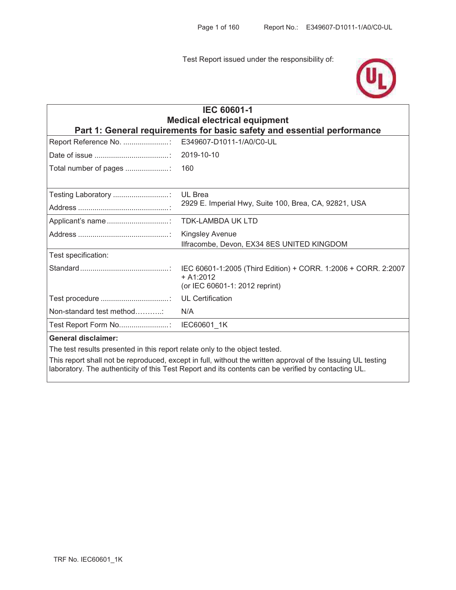Test Report issued under the responsibility of:



| <b>IEC 60601-1</b><br><b>Medical electrical equipment</b><br>Part 1: General requirements for basic safety and essential performance |                                                                         |  |  |
|--------------------------------------------------------------------------------------------------------------------------------------|-------------------------------------------------------------------------|--|--|
| Report Reference No. :                                                                                                               | E349607-D1011-1/A0/C0-UL                                                |  |  |
|                                                                                                                                      | 2019-10-10                                                              |  |  |
| Total number of pages                                                                                                                | 160                                                                     |  |  |
| Testing Laboratory :                                                                                                                 | <b>UL Brea</b><br>2929 E. Imperial Hwy, Suite 100, Brea, CA, 92821, USA |  |  |
|                                                                                                                                      | <b>TDK-LAMBDA UK LTD</b>                                                |  |  |
|                                                                                                                                      | <b>Kingsley Avenue</b><br>Ilfracombe, Devon, EX34 8ES UNITED KINGDOM    |  |  |
| Test specification:                                                                                                                  |                                                                         |  |  |
|                                                                                                                                      | $+ A1:2012$<br>(or IEC 60601-1: 2012 reprint)                           |  |  |
|                                                                                                                                      | <b>UL Certification</b>                                                 |  |  |
| Non-standard test method                                                                                                             | N/A                                                                     |  |  |
|                                                                                                                                      |                                                                         |  |  |
| <b>General disclaimer:</b>                                                                                                           |                                                                         |  |  |
| The test results presented in this report relate only to the object tested.                                                          |                                                                         |  |  |

This report shall not be reproduced, except in full, without the written approval of the Issuing UL testing laboratory. The authenticity of this Test Report and its contents can be verified by contacting UL.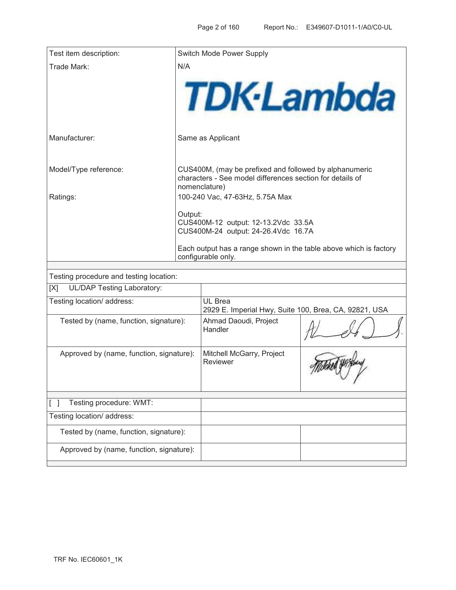| Test item description:                   |                                                                                         | Switch Mode Power Supply                                                                                                             |  |  |
|------------------------------------------|-----------------------------------------------------------------------------------------|--------------------------------------------------------------------------------------------------------------------------------------|--|--|
| Trade Mark:                              | N/A                                                                                     |                                                                                                                                      |  |  |
|                                          |                                                                                         | <b>TDK-Lambda</b>                                                                                                                    |  |  |
| Manufacturer:                            |                                                                                         | Same as Applicant                                                                                                                    |  |  |
| Model/Type reference:                    |                                                                                         | CUS400M, (may be prefixed and followed by alphanumeric<br>characters - See model differences section for details of<br>nomenclature) |  |  |
| Ratings:                                 |                                                                                         | 100-240 Vac, 47-63Hz, 5.75A Max                                                                                                      |  |  |
|                                          | Output:<br>CUS400M-12 output: 12-13.2Vdc 33.5A<br>CUS400M-24 output: 24-26.4Vdc 16.7A   |                                                                                                                                      |  |  |
|                                          | Each output has a range shown in the table above which is factory<br>configurable only. |                                                                                                                                      |  |  |
|                                          |                                                                                         |                                                                                                                                      |  |  |
| Testing procedure and testing location:  |                                                                                         |                                                                                                                                      |  |  |
| <b>UL/DAP Testing Laboratory:</b><br>[X] |                                                                                         |                                                                                                                                      |  |  |
| Testing location/ address:               |                                                                                         | UL Brea<br>2929 E. Imperial Hwy, Suite 100, Brea, CA, 92821, USA                                                                     |  |  |
| Tested by (name, function, signature):   |                                                                                         | Ahmad Daoudi, Project<br>$\wedge$                                                                                                    |  |  |

| rootoa by thanno, ranotion, oignataro <i>f</i> . | , unnau Daouun, r rojcot<br>Handler   |  |
|--------------------------------------------------|---------------------------------------|--|
| Approved by (name, function, signature):         | Mitchell McGarry, Project<br>Reviewer |  |
| Testing procedure: WMT:                          |                                       |  |
| Testing location/ address:                       |                                       |  |
| Tested by (name, function, signature):           |                                       |  |
| Approved by (name, function, signature):         |                                       |  |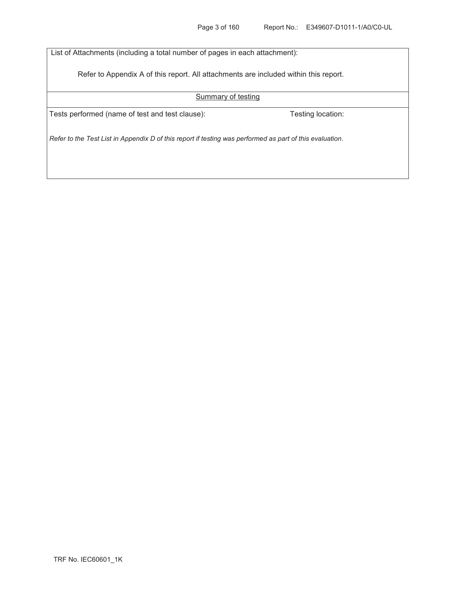List of Attachments (including a total number of pages in each attachment):

Refer to Appendix A of this report. All attachments are included within this report.

### Summary of testing

Tests performed (name of test and test clause): Testing location:

*Refer to the Test List in Appendix D of this report if testing was performed as part of this evaluation.*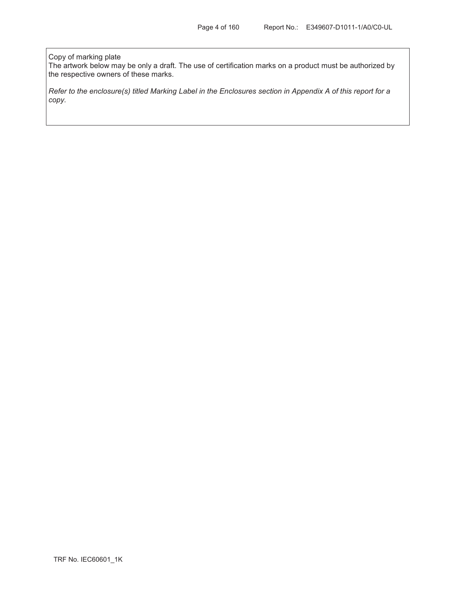#### Copy of marking plate

The artwork below may be only a draft. The use of certification marks on a product must be authorized by the respective owners of these marks.

*Refer to the enclosure(s) titled Marking Label in the Enclosures section in Appendix A of this report for a copy.*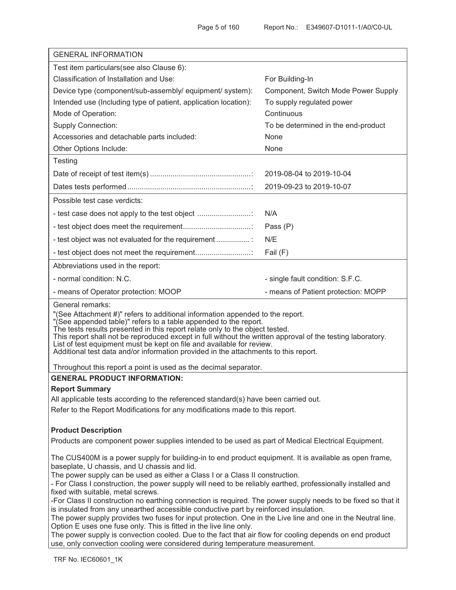| <b>GENERAL INFORMATION</b>                                                                                                                                                                                                                                                                                                                                                                                                                                                                                                                                                                                                                                                                                                                                                                                                                                                                                                                                                          |                                     |  |  |
|-------------------------------------------------------------------------------------------------------------------------------------------------------------------------------------------------------------------------------------------------------------------------------------------------------------------------------------------------------------------------------------------------------------------------------------------------------------------------------------------------------------------------------------------------------------------------------------------------------------------------------------------------------------------------------------------------------------------------------------------------------------------------------------------------------------------------------------------------------------------------------------------------------------------------------------------------------------------------------------|-------------------------------------|--|--|
| Test item particulars (see also Clause 6):                                                                                                                                                                                                                                                                                                                                                                                                                                                                                                                                                                                                                                                                                                                                                                                                                                                                                                                                          |                                     |  |  |
| Classification of Installation and Use:                                                                                                                                                                                                                                                                                                                                                                                                                                                                                                                                                                                                                                                                                                                                                                                                                                                                                                                                             | For Building-In                     |  |  |
| Device type (component/sub-assembly/ equipment/ system):                                                                                                                                                                                                                                                                                                                                                                                                                                                                                                                                                                                                                                                                                                                                                                                                                                                                                                                            | Component, Switch Mode Power Supply |  |  |
| Intended use (Including type of patient, application location):                                                                                                                                                                                                                                                                                                                                                                                                                                                                                                                                                                                                                                                                                                                                                                                                                                                                                                                     | To supply regulated power           |  |  |
| Mode of Operation:                                                                                                                                                                                                                                                                                                                                                                                                                                                                                                                                                                                                                                                                                                                                                                                                                                                                                                                                                                  | Continuous                          |  |  |
| <b>Supply Connection:</b>                                                                                                                                                                                                                                                                                                                                                                                                                                                                                                                                                                                                                                                                                                                                                                                                                                                                                                                                                           | To be determined in the end-product |  |  |
| Accessories and detachable parts included:                                                                                                                                                                                                                                                                                                                                                                                                                                                                                                                                                                                                                                                                                                                                                                                                                                                                                                                                          | None                                |  |  |
| Other Options Include:                                                                                                                                                                                                                                                                                                                                                                                                                                                                                                                                                                                                                                                                                                                                                                                                                                                                                                                                                              | None                                |  |  |
| Testing                                                                                                                                                                                                                                                                                                                                                                                                                                                                                                                                                                                                                                                                                                                                                                                                                                                                                                                                                                             |                                     |  |  |
|                                                                                                                                                                                                                                                                                                                                                                                                                                                                                                                                                                                                                                                                                                                                                                                                                                                                                                                                                                                     | 2019-08-04 to 2019-10-04            |  |  |
|                                                                                                                                                                                                                                                                                                                                                                                                                                                                                                                                                                                                                                                                                                                                                                                                                                                                                                                                                                                     | 2019-09-23 to 2019-10-07            |  |  |
| Possible test case verdicts:                                                                                                                                                                                                                                                                                                                                                                                                                                                                                                                                                                                                                                                                                                                                                                                                                                                                                                                                                        |                                     |  |  |
| - test case does not apply to the test object                                                                                                                                                                                                                                                                                                                                                                                                                                                                                                                                                                                                                                                                                                                                                                                                                                                                                                                                       | N/A                                 |  |  |
|                                                                                                                                                                                                                                                                                                                                                                                                                                                                                                                                                                                                                                                                                                                                                                                                                                                                                                                                                                                     | Pass (P)                            |  |  |
| - test object was not evaluated for the requirement                                                                                                                                                                                                                                                                                                                                                                                                                                                                                                                                                                                                                                                                                                                                                                                                                                                                                                                                 | N/E                                 |  |  |
| - test object does not meet the requirement                                                                                                                                                                                                                                                                                                                                                                                                                                                                                                                                                                                                                                                                                                                                                                                                                                                                                                                                         | Fail (F)                            |  |  |
| Abbreviations used in the report:                                                                                                                                                                                                                                                                                                                                                                                                                                                                                                                                                                                                                                                                                                                                                                                                                                                                                                                                                   |                                     |  |  |
| - normal condition: N.C.                                                                                                                                                                                                                                                                                                                                                                                                                                                                                                                                                                                                                                                                                                                                                                                                                                                                                                                                                            | - single fault condition: S.F.C.    |  |  |
| - means of Operator protection: MOOP                                                                                                                                                                                                                                                                                                                                                                                                                                                                                                                                                                                                                                                                                                                                                                                                                                                                                                                                                | - means of Patient protection: MOPP |  |  |
| General remarks:<br>"(See Attachment #)" refers to additional information appended to the report.<br>"(See appended table)" refers to a table appended to the report.<br>The tests results presented in this report relate only to the object tested.<br>This report shall not be reproduced except in full without the written approval of the testing laboratory.<br>List of test equipment must be kept on file and available for review.<br>Additional test data and/or information provided in the attachments to this report.<br>Throughout this report a point is used as the decimal separator.                                                                                                                                                                                                                                                                                                                                                                             |                                     |  |  |
| <b>GENERAL PRODUCT INFORMATION:</b>                                                                                                                                                                                                                                                                                                                                                                                                                                                                                                                                                                                                                                                                                                                                                                                                                                                                                                                                                 |                                     |  |  |
| <b>Report Summary</b>                                                                                                                                                                                                                                                                                                                                                                                                                                                                                                                                                                                                                                                                                                                                                                                                                                                                                                                                                               |                                     |  |  |
| All applicable tests according to the referenced standard(s) have been carried out.                                                                                                                                                                                                                                                                                                                                                                                                                                                                                                                                                                                                                                                                                                                                                                                                                                                                                                 |                                     |  |  |
| Refer to the Report Modifications for any modifications made to this report.                                                                                                                                                                                                                                                                                                                                                                                                                                                                                                                                                                                                                                                                                                                                                                                                                                                                                                        |                                     |  |  |
| <b>Product Description</b>                                                                                                                                                                                                                                                                                                                                                                                                                                                                                                                                                                                                                                                                                                                                                                                                                                                                                                                                                          |                                     |  |  |
| Products are component power supplies intended to be used as part of Medical Electrical Equipment.                                                                                                                                                                                                                                                                                                                                                                                                                                                                                                                                                                                                                                                                                                                                                                                                                                                                                  |                                     |  |  |
| The CUS400M is a power supply for building-in to end product equipment. It is available as open frame,<br>baseplate, U chassis, and U chassis and lid.<br>The power supply can be used as either a Class I or a Class II construction.<br>- For Class I construction, the power supply will need to be reliably earthed, professionally installed and<br>fixed with suitable, metal screws.<br>-For Class II construction no earthing connection is required. The power supply needs to be fixed so that it<br>is insulated from any unearthed accessible conductive part by reinforced insulation.<br>The power supply provides two fuses for input protection. One in the Live line and one in the Neutral line.<br>Option E uses one fuse only. This is fitted in the live line only.<br>The power supply is convection cooled. Due to the fact that air flow for cooling depends on end product<br>use, only convection cooling were considered during temperature measurement. |                                     |  |  |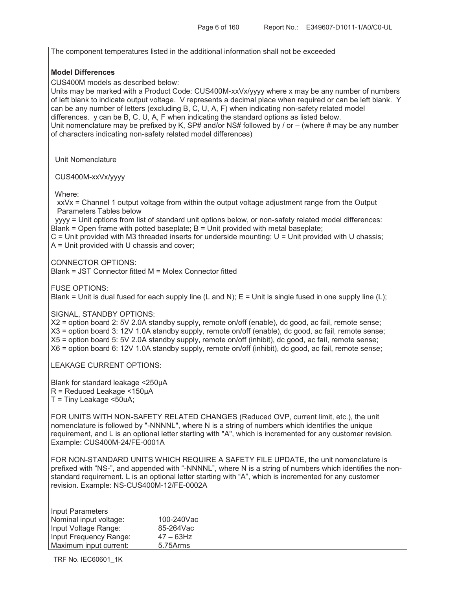The component temperatures listed in the additional information shall not be exceeded **Model Differences**  CUS400M models as described below: Units may be marked with a Product Code: CUS400M-xxVx/yyyy where x may be any number of numbers of left blank to indicate output voltage. V represents a decimal place when required or can be left blank. Y can be any number of letters (excluding B, C, U, A, F) when indicating non-safety related model differences. y can be B, C, U, A, F when indicating the standard options as listed below. Unit nomenclature may be prefixed by K, SP# and/or NS# followed by / or – (where # may be any number of characters indicating non-safety related model differences) Unit Nomenclature CUS400M-xxVx/yyyy Where: xxVx = Channel 1 output voltage from within the output voltage adjustment range from the Output Parameters Tables below yyyy = Unit options from list of standard unit options below, or non-safety related model differences: Blank = Open frame with potted baseplate; B = Unit provided with metal baseplate;  $C$  = Unit provided with M3 threaded inserts for underside mounting;  $U$  = Unit provided with U chassis; A = Unit provided with U chassis and cover; CONNECTOR OPTIONS: Blank = JST Connector fitted M = Molex Connector fitted FUSE OPTIONS: Blank = Unit is dual fused for each supply line (L and N);  $E =$  Unit is single fused in one supply line (L); SIGNAL, STANDBY OPTIONS: X2 = option board 2: 5V 2.0A standby supply, remote on/off (enable), dc good, ac fail, remote sense; X3 = option board 3: 12V 1.0A standby supply, remote on/off (enable), dc good, ac fail, remote sense; X5 = option board 5: 5V 2.0A standby supply, remote on/off (inhibit), dc good, ac fail, remote sense; X6 = option board 6: 12V 1.0A standby supply, remote on/off (inhibit), dc good, ac fail, remote sense; LEAKAGE CURRENT OPTIONS: Blank for standard leakage <250µA R = Reduced Leakage <150µA T = Tiny Leakage <50uA; FOR UNITS WITH NON-SAFETY RELATED CHANGES (Reduced OVP, current limit, etc.), the unit nomenclature is followed by "-NNNNL", where N is a string of numbers which identifies the unique requirement, and L is an optional letter starting with "A", which is incremented for any customer revision. Example: CUS400M-24/FE-0001A FOR NON-STANDARD UNITS WHICH REQUIRE A SAFETY FILE UPDATE, the unit nomenclature is prefixed with "NS-", and appended with "-NNNNL", where N is a string of numbers which identifies the nonstandard requirement. L is an optional letter starting with "A", which is incremented for any customer revision. Example: NS-CUS400M-12/FE-0002A Input Parameters

| Nominal input voltage: | 100-240Vac   |
|------------------------|--------------|
| Input Voltage Range:   | 85-264Vac    |
| Input Frequency Range: | $47 - 63$ Hz |
| Maximum input current: | 5.75Arms     |

TRF No. IEC60601\_1K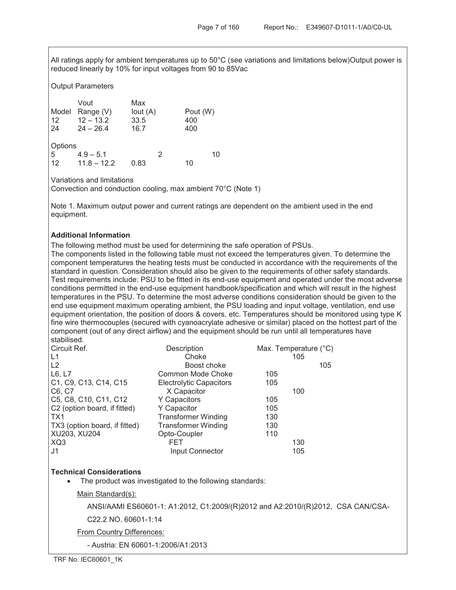All ratings apply for ambient temperatures up to 50°C (see variations and limitations below)Output power is reduced linearly by 10% for input voltages from 90 to 85Vac

### Output Parameters

|         | Vout          | Max        |   |          |    |
|---------|---------------|------------|---|----------|----|
| Model   | Range (V)     | lout $(A)$ |   | Pout (W) |    |
| 12      | $12 - 13.2$   | 33.5       |   | 400      |    |
| 24      | $24 - 26.4$   | 16.7       |   | 400      |    |
| Options |               |            |   |          |    |
| 5       | $4.9 - 5.1$   |            | 2 |          | 10 |
| 12      | $11.8 - 12.2$ | 0.83       |   | 10       |    |

Variations and limitations

Convection and conduction cooling, max ambient 70°C (Note 1)

Note 1. Maximum output power and current ratings are dependent on the ambient used in the end equipment.

### **Additional Information**

The following method must be used for determining the safe operation of PSUs.

The components listed in the following table must not exceed the temperatures given. To determine the component temperatures the heating tests must be conducted in accordance with the requirements of the standard in question. Consideration should also be given to the requirements of other safety standards. Test requirements include: PSU to be fitted in its end-use equipment and operated under the most adverse conditions permitted in the end-use equipment handbook/specification and which will result in the highest temperatures in the PSU. To determine the most adverse conditions consideration should be given to the end use equipment maximum operating ambient, the PSU loading and input voltage, ventilation, end use equipment orientation, the position of doors & covers, etc. Temperatures should be monitored using type K fine wire thermocouples (secured with cyanoacrylate adhesive or similar) placed on the hottest part of the component (out of any direct airflow) and the equipment should be run until all temperatures have stabilised.

| Circuit Ref.                             | Description                    | Max. Temperature (°C) |     |
|------------------------------------------|--------------------------------|-----------------------|-----|
| L1                                       | Choke                          | 105                   |     |
| L <sub>2</sub>                           | Boost choke                    |                       | 105 |
| L6, L7                                   | Common Mode Choke              | 105                   |     |
| C1, C9, C13, C14, C15                    | <b>Electrolytic Capacitors</b> | 105                   |     |
| C6, C7                                   | X Capacitor                    | 100                   |     |
| C5, C8, C10, C11, C12                    | Y Capacitors                   | 105                   |     |
| C <sub>2</sub> (option board, if fitted) | Y Capacitor                    | 105                   |     |
| TX1                                      | <b>Transformer Winding</b>     | 130                   |     |
| TX3 (option board, if fitted)            | <b>Transformer Winding</b>     | 130                   |     |
| XU203, XU204                             | Opto-Coupler                   | 110                   |     |
| XQ3                                      | <b>FET</b>                     | 130                   |     |
| J1                                       | Input Connector                | 105                   |     |

# **Technical Considerations**

The product was investigated to the following standards:

### Main Standard(s):

ANSI/AAMI ES60601-1: A1:2012, C1:2009/(R)2012 and A2:2010/(R)2012, CSA CAN/CSA-

C22.2 NO. 60601-1:14

From Country Differences:

- Austria: EN 60601-1:2006/A1:2013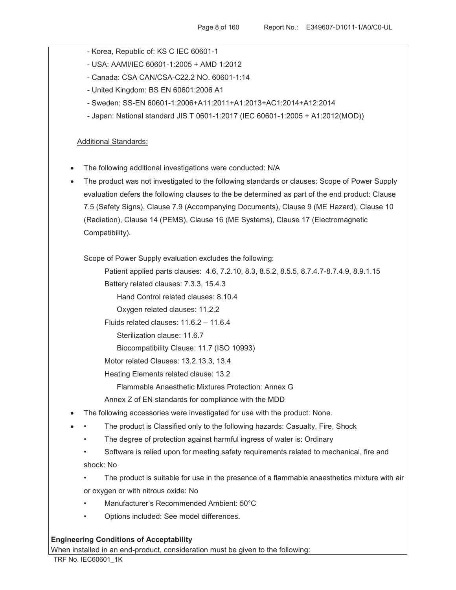- Korea, Republic of: KS C IEC 60601-1
- USA: AAMI/IEC 60601-1:2005 + AMD 1:2012
- Canada: CSA CAN/CSA-C22.2 NO. 60601-1:14
- United Kingdom: BS EN 60601:2006 A1
- Sweden: SS-EN 60601-1:2006+A11:2011+A1:2013+AC1:2014+A12:2014
- Japan: National standard JIS T 0601-1:2017 (IEC 60601-1:2005 + A1:2012(MOD))

## Additional Standards:

- The following additional investigations were conducted: N/A
- The product was not investigated to the following standards or clauses: Scope of Power Supply evaluation defers the following clauses to the be determined as part of the end product: Clause 7.5 (Safety Signs), Clause 7.9 (Accompanying Documents), Clause 9 (ME Hazard), Clause 10 (Radiation), Clause 14 (PEMS), Clause 16 (ME Systems), Clause 17 (Electromagnetic Compatibility).

Scope of Power Supply evaluation excludes the following:

Patient applied parts clauses: 4.6, 7.2.10, 8.3, 8.5.2, 8.5.5, 8.7.4.7-8.7.4.9, 8.9.1.15

Battery related clauses: 7.3.3, 15.4.3

Hand Control related clauses: 8.10.4

Oxygen related clauses: 11.2.2

Fluids related clauses: 11.6.2 – 11.6.4

Sterilization clause: 11.6.7

Biocompatibility Clause: 11.7 (ISO 10993)

Motor related Clauses: 13.2.13.3, 13.4

Heating Elements related clause: 13.2

Flammable Anaesthetic Mixtures Protection: Annex G

Annex Z of EN standards for compliance with the MDD

- The following accessories were investigated for use with the product: None.
- The product is Classified only to the following hazards: Casualty, Fire, Shock
	- The degree of protection against harmful ingress of water is: Ordinary
	- Software is relied upon for meeting safety requirements related to mechanical, fire and shock: No
	- The product is suitable for use in the presence of a flammable anaesthetics mixture with air
	- or oxygen or with nitrous oxide: No
	- Manufacturer's Recommended Ambient: 50°C
	- Options included: See model differences.

### **Engineering Conditions of Acceptability**

When installed in an end-product, consideration must be given to the following: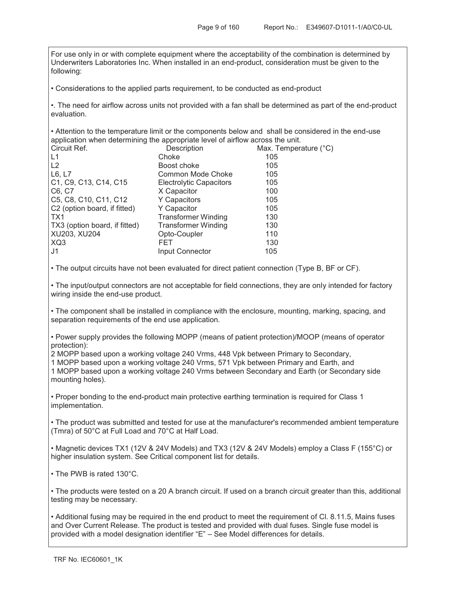For use only in or with complete equipment where the acceptability of the combination is determined by Underwriters Laboratories Inc. When installed in an end-product, consideration must be given to the following:

• Considerations to the applied parts requirement, to be conducted as end-product

•. The need for airflow across units not provided with a fan shall be determined as part of the end-product evaluation.

• Attention to the temperature limit or the components below and shall be considered in the end-use application when determining the appropriate level of airflow across the unit.

| Circuit Ref.                  | Description                    | Max. Temperature (°C) |
|-------------------------------|--------------------------------|-----------------------|
| L1                            | Choke                          | 105                   |
| L2                            | Boost choke                    | 105                   |
| L6, L7                        | Common Mode Choke              | 105                   |
| C1, C9, C13, C14, C15         | <b>Electrolytic Capacitors</b> | 105                   |
| C6, C7                        | X Capacitor                    | 100                   |
| C5, C8, C10, C11, C12         | Y Capacitors                   | 105                   |
| C2 (option board, if fitted)  | Y Capacitor                    | 105                   |
| TX1                           | <b>Transformer Winding</b>     | 130                   |
| TX3 (option board, if fitted) | <b>Transformer Winding</b>     | 130                   |
| XU203, XU204                  | Opto-Coupler                   | 110                   |
| XQ3                           | FET                            | 130                   |
| l J1                          | Input Connector                | 105                   |

• The output circuits have not been evaluated for direct patient connection (Type B, BF or CF).

• The input/output connectors are not acceptable for field connections, they are only intended for factory wiring inside the end-use product.

• The component shall be installed in compliance with the enclosure, mounting, marking, spacing, and separation requirements of the end use application.

• Power supply provides the following MOPP (means of patient protection)/MOOP (means of operator protection):

2 MOPP based upon a working voltage 240 Vrms, 448 Vpk between Primary to Secondary,

1 MOPP based upon a working voltage 240 Vrms, 571 Vpk between Primary and Earth, and 1 MOPP based upon a working voltage 240 Vrms between Secondary and Earth (or Secondary side mounting holes).

• Proper bonding to the end-product main protective earthing termination is required for Class 1 implementation.

• The product was submitted and tested for use at the manufacturer's recommended ambient temperature (Tmra) of 50°C at Full Load and 70°C at Half Load.

• Magnetic devices TX1 (12V & 24V Models) and TX3 (12V & 24V Models) employ a Class F (155°C) or higher insulation system. See Critical component list for details.

• The PWB is rated 130°C.

• The products were tested on a 20 A branch circuit. If used on a branch circuit greater than this, additional testing may be necessary.

• Additional fusing may be required in the end product to meet the requirement of Cl. 8.11.5, Mains fuses and Over Current Release. The product is tested and provided with dual fuses. Single fuse model is provided with a model designation identifier "E" – See Model differences for details.